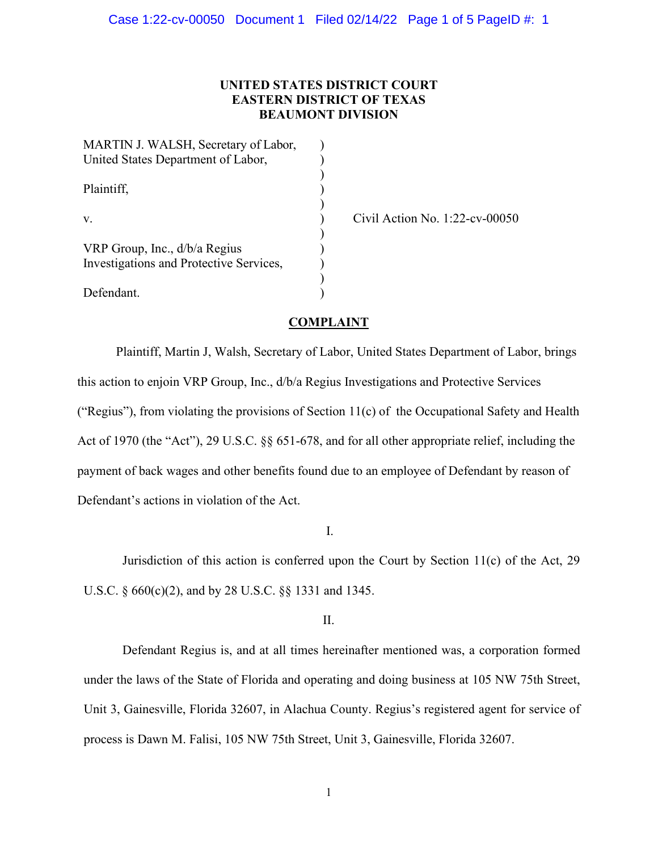# **UNITED STATES DISTRICT COURT EASTERN DISTRICT OF TEXAS BEAUMONT DIVISION**

| MARTIN J. WALSH, Secretary of Labor,<br>United States Department of Labor,     |  |
|--------------------------------------------------------------------------------|--|
| Plaintiff,                                                                     |  |
| V.<br>VRP Group, Inc., d/b/a Regius<br>Investigations and Protective Services, |  |
|                                                                                |  |

 $\text{Civil Action No. } 1:22\text{-cv-00050}$ 

# **COMPLAINT**

Plaintiff, Martin J, Walsh, Secretary of Labor, United States Department of Labor, brings this action to enjoin VRP Group, Inc., d/b/a Regius Investigations and Protective Services ("Regius"), from violating the provisions of Section 11(c) of the Occupational Safety and Health Act of 1970 (the "Act"), 29 U.S.C. §§ 651-678, and for all other appropriate relief, including the payment of back wages and other benefits found due to an employee of Defendant by reason of Defendant's actions in violation of the Act.

I.

Jurisdiction of this action is conferred upon the Court by Section 11(c) of the Act, 29 U.S.C. § 660(c)(2), and by 28 U.S.C. §§ 1331 and 1345.

II.

Defendant Regius is, and at all times hereinafter mentioned was, a corporation formed under the laws of the State of Florida and operating and doing business at 105 NW 75th Street, Unit 3, Gainesville, Florida 32607, in Alachua County. Regius's registered agent for service of process is Dawn M. Falisi, 105 NW 75th Street, Unit 3, Gainesville, Florida 32607.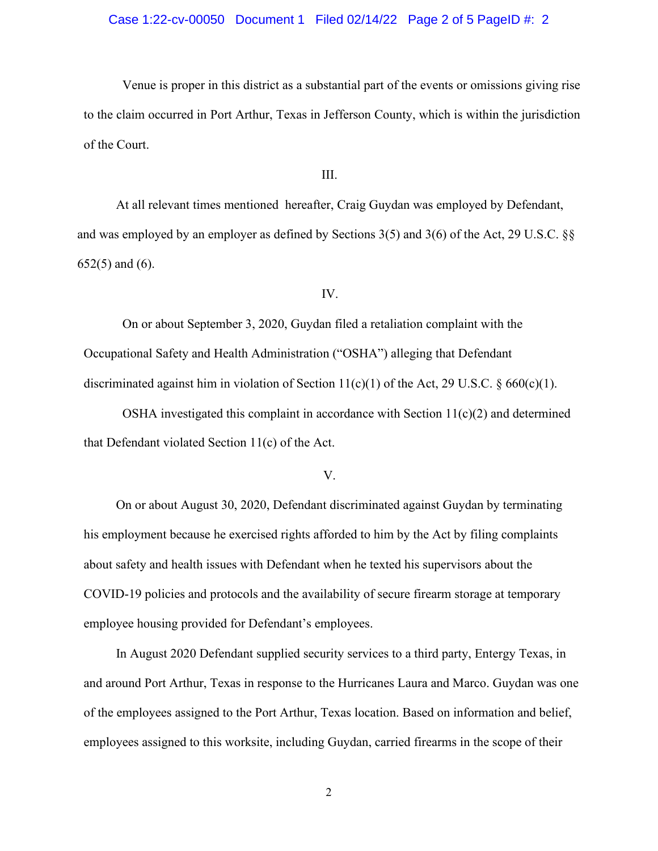## Case 1:22-cv-00050 Document 1 Filed 02/14/22 Page 2 of 5 PageID #: 2

Venue is proper in this district as a substantial part of the events or omissions giving rise to the claim occurred in Port Arthur, Texas in Jefferson County, which is within the jurisdiction of the Court.

### III.

At all relevant times mentioned hereafter, Craig Guydan was employed by Defendant, and was employed by an employer as defined by Sections 3(5) and 3(6) of the Act, 29 U.S.C. §§ 652(5) and (6).

### IV.

On or about September 3, 2020, Guydan filed a retaliation complaint with the Occupational Safety and Health Administration ("OSHA") alleging that Defendant discriminated against him in violation of Section  $11(c)(1)$  of the Act, 29 U.S.C. § 660(c)(1).

OSHA investigated this complaint in accordance with Section  $11(c)(2)$  and determined that Defendant violated Section 11(c) of the Act.

### V.

On or about August 30, 2020, Defendant discriminated against Guydan by terminating his employment because he exercised rights afforded to him by the Act by filing complaints about safety and health issues with Defendant when he texted his supervisors about the COVID-19 policies and protocols and the availability of secure firearm storage at temporary employee housing provided for Defendant's employees.

In August 2020 Defendant supplied security services to a third party, Entergy Texas, in and around Port Arthur, Texas in response to the Hurricanes Laura and Marco. Guydan was one of the employees assigned to the Port Arthur, Texas location. Based on information and belief, employees assigned to this worksite, including Guydan, carried firearms in the scope of their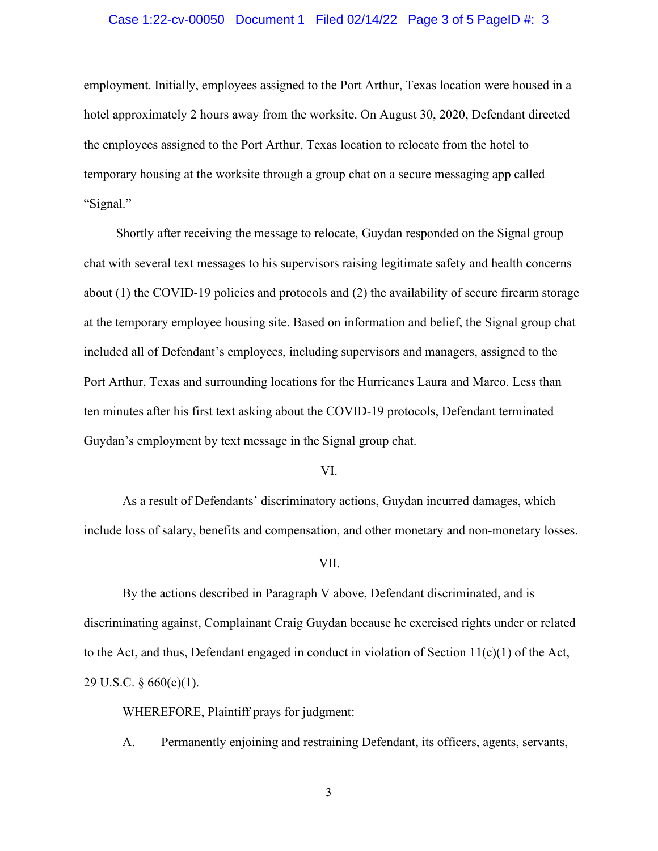### Case 1:22-cv-00050 Document 1 Filed 02/14/22 Page 3 of 5 PageID #: 3

employment. Initially, employees assigned to the Port Arthur, Texas location were housed in a hotel approximately 2 hours away from the worksite. On August 30, 2020, Defendant directed the employees assigned to the Port Arthur, Texas location to relocate from the hotel to temporary housing at the worksite through a group chat on a secure messaging app called "Signal."

Shortly after receiving the message to relocate, Guydan responded on the Signal group chat with several text messages to his supervisors raising legitimate safety and health concerns about (1) the COVID-19 policies and protocols and (2) the availability of secure firearm storage at the temporary employee housing site. Based on information and belief, the Signal group chat included all of Defendant's employees, including supervisors and managers, assigned to the Port Arthur, Texas and surrounding locations for the Hurricanes Laura and Marco. Less than ten minutes after his first text asking about the COVID-19 protocols, Defendant terminated Guydan's employment by text message in the Signal group chat.

### VI.

As a result of Defendants' discriminatory actions, Guydan incurred damages, which include loss of salary, benefits and compensation, and other monetary and non-monetary losses.

#### VII.

By the actions described in Paragraph V above, Defendant discriminated, and is discriminating against, Complainant Craig Guydan because he exercised rights under or related to the Act, and thus, Defendant engaged in conduct in violation of Section  $11(c)(1)$  of the Act, 29 U.S.C. § 660(c)(1).

WHEREFORE, Plaintiff prays for judgment:

A. Permanently enjoining and restraining Defendant, its officers, agents, servants,

3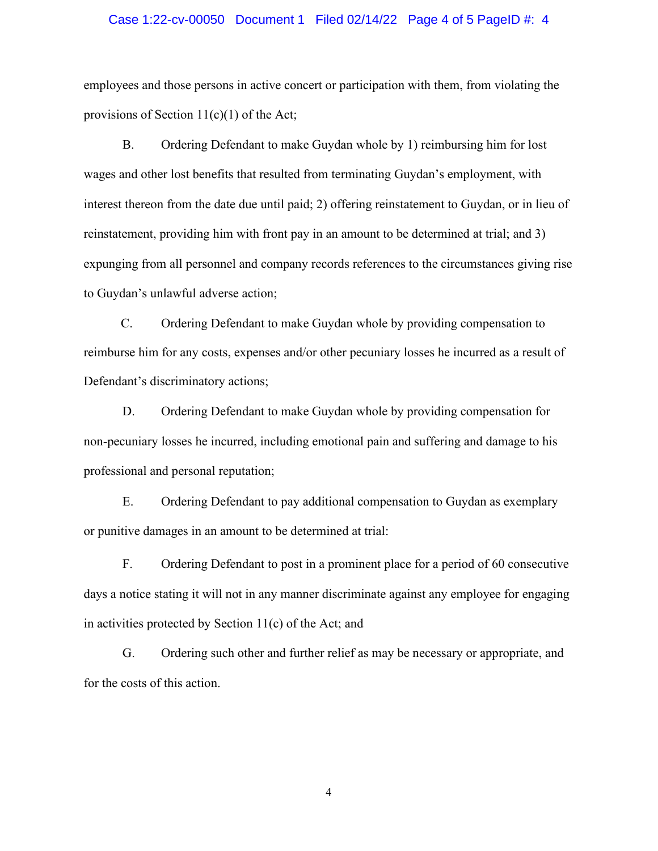### Case 1:22-cv-00050 Document 1 Filed 02/14/22 Page 4 of 5 PageID #: 4

employees and those persons in active concert or participation with them, from violating the provisions of Section  $11(c)(1)$  of the Act;

B. Ordering Defendant to make Guydan whole by 1) reimbursing him for lost wages and other lost benefits that resulted from terminating Guydan's employment, with interest thereon from the date due until paid; 2) offering reinstatement to Guydan, or in lieu of reinstatement, providing him with front pay in an amount to be determined at trial; and 3) expunging from all personnel and company records references to the circumstances giving rise to Guydan's unlawful adverse action;

C. Ordering Defendant to make Guydan whole by providing compensation to reimburse him for any costs, expenses and/or other pecuniary losses he incurred as a result of Defendant's discriminatory actions;

D. Ordering Defendant to make Guydan whole by providing compensation for non-pecuniary losses he incurred, including emotional pain and suffering and damage to his professional and personal reputation;

E. Ordering Defendant to pay additional compensation to Guydan as exemplary or punitive damages in an amount to be determined at trial:

F. Ordering Defendant to post in a prominent place for a period of 60 consecutive days a notice stating it will not in any manner discriminate against any employee for engaging in activities protected by Section 11(c) of the Act; and

G. Ordering such other and further relief as may be necessary or appropriate, and for the costs of this action.

4